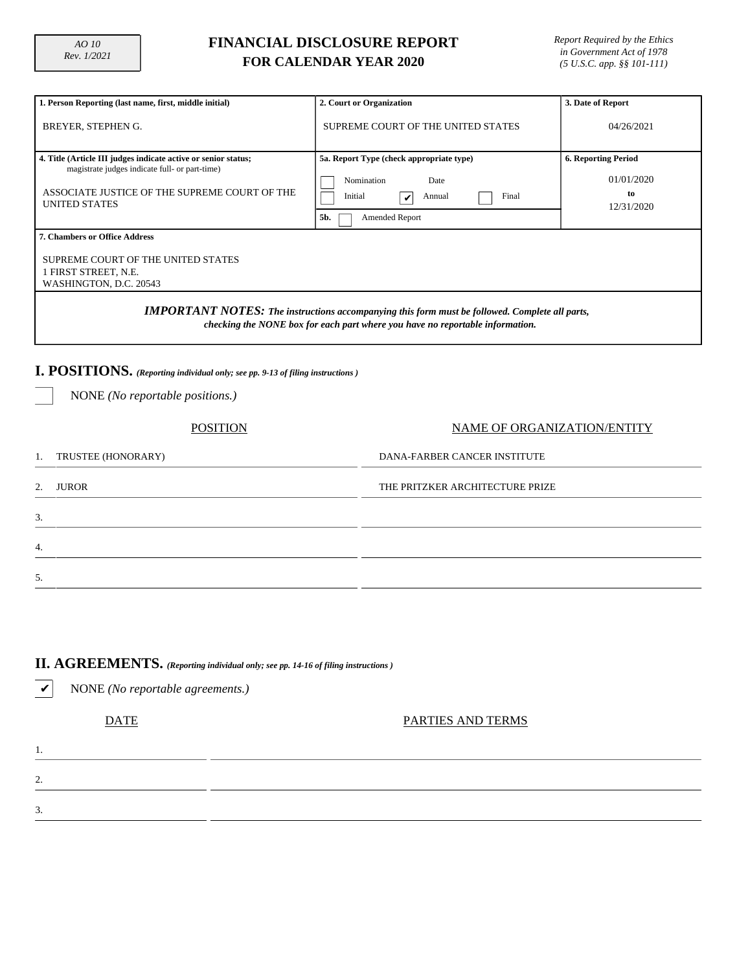# **FINANCIAL DISCLOSURE REPORT FOR CALENDAR YEAR 2020**

| 1. Person Reporting (last name, first, middle initial)                                                                                                                                    | 2. Court or Organization                                                                                                   | 3. Date of Report                                            |  |  |  |  |  |  |  |
|-------------------------------------------------------------------------------------------------------------------------------------------------------------------------------------------|----------------------------------------------------------------------------------------------------------------------------|--------------------------------------------------------------|--|--|--|--|--|--|--|
| BREYER, STEPHEN G.                                                                                                                                                                        | SUPREME COURT OF THE UNITED STATES                                                                                         | 04/26/2021                                                   |  |  |  |  |  |  |  |
| 4. Title (Article III judges indicate active or senior status;<br>magistrate judges indicate full- or part-time)<br>ASSOCIATE JUSTICE OF THE SUPREME COURT OF THE<br><b>UNITED STATES</b> | 5a. Report Type (check appropriate type)<br>Nomination<br>Date<br>Initial<br>Final<br>Annual<br>V<br>5b.<br>Amended Report | <b>6. Reporting Period</b><br>01/01/2020<br>to<br>12/31/2020 |  |  |  |  |  |  |  |
| <b>7. Chambers or Office Address</b>                                                                                                                                                      |                                                                                                                            |                                                              |  |  |  |  |  |  |  |
| SUPREME COURT OF THE UNITED STATES<br>1 FIRST STREET, N.E.<br>WASHINGTON, D.C. 20543                                                                                                      |                                                                                                                            |                                                              |  |  |  |  |  |  |  |
| <b>IMPORTANT NOTES:</b> The instructions accompanying this form must be followed. Complete all parts,<br>checking the NONE box for each part where you have no reportable information.    |                                                                                                                            |                                                              |  |  |  |  |  |  |  |
| I. POSITIONS. (Reporting individual only; see pp. 9-13 of filing instructions)                                                                                                            |                                                                                                                            |                                                              |  |  |  |  |  |  |  |
| NONE (No reportable positions.)                                                                                                                                                           |                                                                                                                            |                                                              |  |  |  |  |  |  |  |
| <b>POSITION</b>                                                                                                                                                                           |                                                                                                                            | NAME OF ORGANIZATION/ENTITY                                  |  |  |  |  |  |  |  |
| TRUSTEE (HONORARY)<br>1.                                                                                                                                                                  | DANA-FARBER CANCER INSTITUTE                                                                                               |                                                              |  |  |  |  |  |  |  |
| <b>JUROR</b><br>2.                                                                                                                                                                        | THE PRITZKER ARCHITECTURE PRIZE                                                                                            |                                                              |  |  |  |  |  |  |  |
| 3.                                                                                                                                                                                        |                                                                                                                            |                                                              |  |  |  |  |  |  |  |
| 4.                                                                                                                                                                                        |                                                                                                                            |                                                              |  |  |  |  |  |  |  |
| 5.                                                                                                                                                                                        |                                                                                                                            |                                                              |  |  |  |  |  |  |  |

#### **II. AGREEMENTS.** *(Reporting individual only; see pp. 14-16 of filing instructions )*

✔ NONE *(No reportable agreements.)*

<u> 1999 - John Barnett, francuski politik (</u>

DATE PARTIES AND TERMS

| 1.                     |  |
|------------------------|--|
|                        |  |
| $\mathcal{D}_{\alpha}$ |  |

3.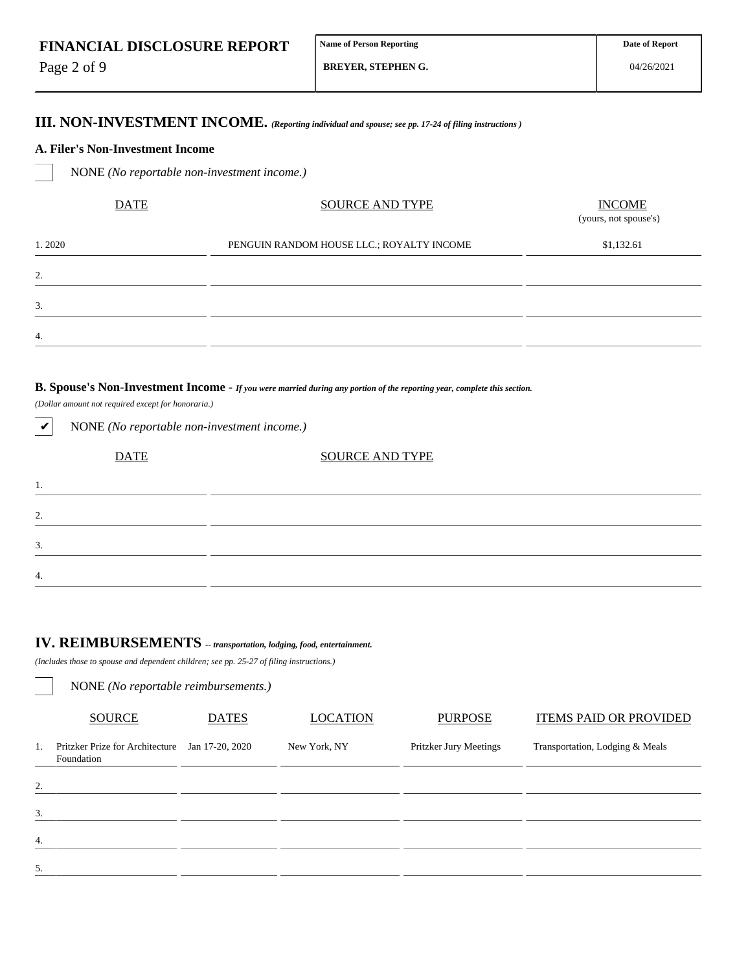Page 2 of 9

2.

3.

4.

**Name of Person Reporting**

04/26/2021

**BREYER, STEPHEN G.**

#### **III. NON-INVESTMENT INCOME.** *(Reporting individual and spouse; see pp. 17-24 of filing instructions )*

#### **A. Filer's Non-Investment Income**

NONE *(No reportable non-investment income.)*

| <b>DATE</b> | <b>SOURCE AND TYPE</b>                    | <b>INCOME</b><br>(yours, not spouse's) |
|-------------|-------------------------------------------|----------------------------------------|
| 1.2020      | PENGUIN RANDOM HOUSE LLC.; ROYALTY INCOME | \$1,132.61                             |
| 2.          |                                           |                                        |
| 3.          |                                           |                                        |
| 4.          |                                           |                                        |
|             |                                           |                                        |

#### **B. Spouse's Non-Investment Income -** *If you were married during any portion of the reporting year, complete this section.*

*(Dollar amount not required except for honoraria.)*

| $\checkmark$ | NONE (No reportable non-investment income.) |                        |  |
|--------------|---------------------------------------------|------------------------|--|
|              | <b>DATE</b>                                 | <b>SOURCE AND TYPE</b> |  |
| 1.           |                                             |                        |  |
| 2.           |                                             |                        |  |
| 3.           |                                             |                        |  |
| 4.           |                                             |                        |  |

# **IV. REIMBURSEMENTS** *-- transportation, lodging, food, entertainment.*

*(Includes those to spouse and dependent children; see pp. 25-27 of filing instructions.)*

|    | NONE (No reportable reimbursements.)                          |              |                 |                        |                                 |  |  |  |  |  |  |
|----|---------------------------------------------------------------|--------------|-----------------|------------------------|---------------------------------|--|--|--|--|--|--|
|    | <b>SOURCE</b>                                                 | <b>DATES</b> | <b>LOCATION</b> | <b>PURPOSE</b>         | <b>ITEMS PAID OR PROVIDED</b>   |  |  |  |  |  |  |
| 1. | Pritzker Prize for Architecture Jan 17-20, 2020<br>Foundation |              | New York, NY    | Pritzker Jury Meetings | Transportation, Lodging & Meals |  |  |  |  |  |  |
| 2. |                                                               |              |                 |                        |                                 |  |  |  |  |  |  |
| 3. |                                                               |              |                 |                        |                                 |  |  |  |  |  |  |
| 4. |                                                               |              |                 |                        |                                 |  |  |  |  |  |  |
| 5. |                                                               |              |                 |                        |                                 |  |  |  |  |  |  |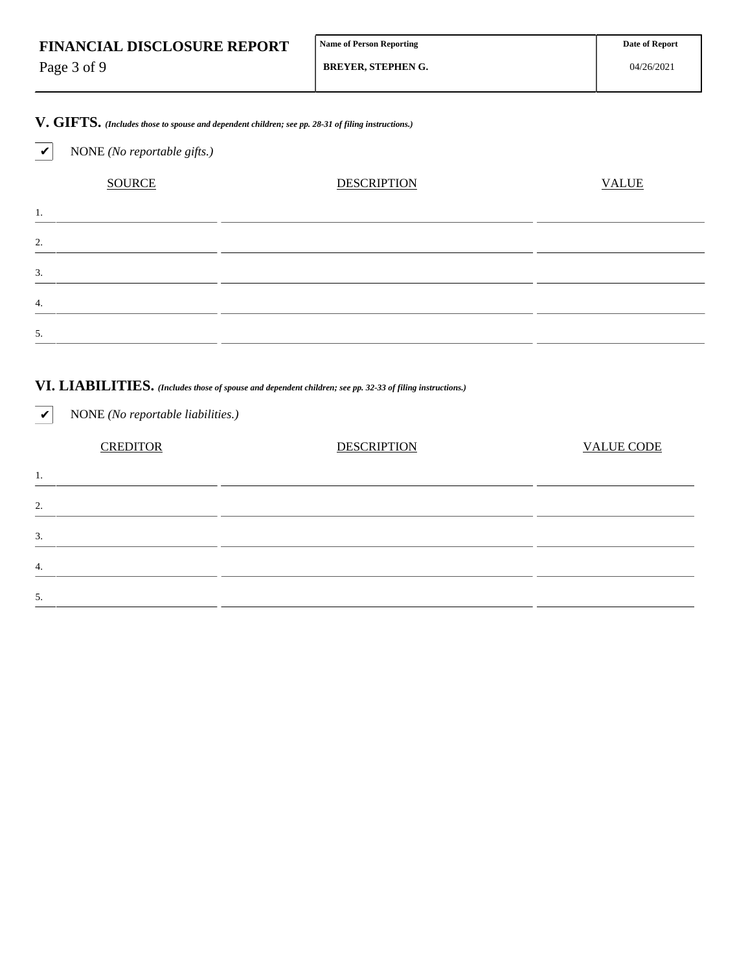| <b>FINANCIAL DISCLOSURE REPORT</b> | Name of Person Reporting | <b>Date of Report</b> |
|------------------------------------|--------------------------|-----------------------|
| Page 3 of 9                        | <b>BREYER, STEPHENG.</b> | 04/26/2021            |
|                                    |                          |                       |

## **V. GIFTS.** *(Includes those to spouse and dependent children; see pp. 28-31 of filing instructions.)*

✔ NONE *(No reportable gifts.)*

# SOURCE DESCRIPTION DESCRIPTION VALUE 1. 2. 3. 4. 5.

#### **VI. LIABILITIES.** *(Includes those of spouse and dependent children; see pp. 32-33 of filing instructions.)*

| $\boldsymbol{\mathcal{U}}$ | NONE (No reportable liabilities.) |                    |                   |
|----------------------------|-----------------------------------|--------------------|-------------------|
|                            | <b>CREDITOR</b>                   | <b>DESCRIPTION</b> | <b>VALUE CODE</b> |
| 1.                         |                                   |                    |                   |
| 2.                         |                                   |                    |                   |
| 3.                         |                                   |                    |                   |
| $\overline{4}$ .           |                                   |                    |                   |
| 5.                         |                                   |                    |                   |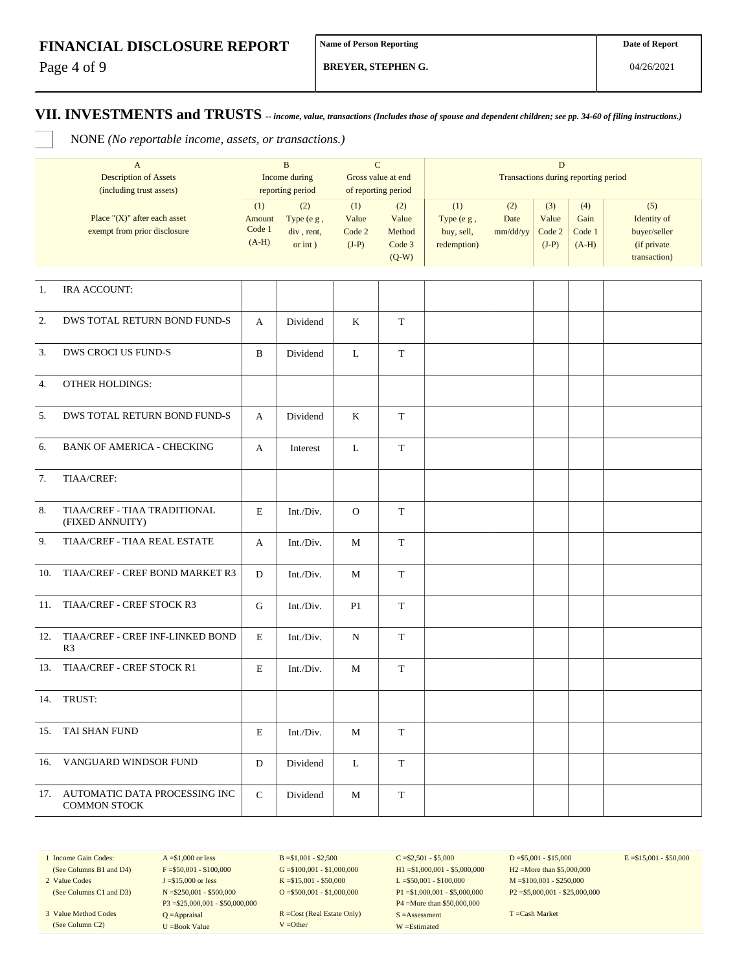Page 4 of 9

**BREYER, STEPHEN G.**

04/26/2021

#### **VII. INVESTMENTS and TRUSTS** *-- income, value, transactions (Includes those of spouse and dependent children; see pp. 34-60 of filing instructions.)*

NONE *(No reportable income, assets, or transactions.)*

|     | $\mathbf{A}$<br><b>Description of Assets</b><br>(including trust assets) |                                    | $\, {\bf B}$<br>Income during<br>reporting period | $\mathbf C$<br>of reporting period | Gross value at end                          | $\mathbf D$<br>Transactions during reporting period |                         |                                   |                                  |                                                                   |  |
|-----|--------------------------------------------------------------------------|------------------------------------|---------------------------------------------------|------------------------------------|---------------------------------------------|-----------------------------------------------------|-------------------------|-----------------------------------|----------------------------------|-------------------------------------------------------------------|--|
|     | Place " $(X)$ " after each asset<br>exempt from prior disclosure         | (1)<br>Amount<br>Code 1<br>$(A-H)$ | (2)<br>Type (e g,<br>div, rent,<br>or $int$ )     | (1)<br>Value<br>Code 2<br>$(J-P)$  | (2)<br>Value<br>Method<br>Code 3<br>$(Q-W)$ | (1)<br>Type (e g,<br>buy, sell,<br>redemption)      | (2)<br>Date<br>mm/dd/yy | (3)<br>Value<br>Code 2<br>$(J-P)$ | (4)<br>Gain<br>Code 1<br>$(A-H)$ | (5)<br>Identity of<br>buyer/seller<br>(if private<br>transaction) |  |
| 1.  | IRA ACCOUNT:                                                             |                                    |                                                   |                                    |                                             |                                                     |                         |                                   |                                  |                                                                   |  |
| 2.  | DWS TOTAL RETURN BOND FUND-S                                             | A                                  | Dividend                                          | $\bf K$                            | $\mathbf T$                                 |                                                     |                         |                                   |                                  |                                                                   |  |
| 3.  | DWS CROCI US FUND-S                                                      | B                                  | Dividend                                          | L                                  | T                                           |                                                     |                         |                                   |                                  |                                                                   |  |
| 4.  | <b>OTHER HOLDINGS:</b>                                                   |                                    |                                                   |                                    |                                             |                                                     |                         |                                   |                                  |                                                                   |  |
| 5.  | DWS TOTAL RETURN BOND FUND-S                                             | A                                  | Dividend                                          | $\bf K$                            | $\mathbf T$                                 |                                                     |                         |                                   |                                  |                                                                   |  |
| 6.  | <b>BANK OF AMERICA - CHECKING</b>                                        | A                                  | Interest                                          | $\mathbf L$                        | $\mathbf T$                                 |                                                     |                         |                                   |                                  |                                                                   |  |
| 7.  | TIAA/CREF:                                                               |                                    |                                                   |                                    |                                             |                                                     |                         |                                   |                                  |                                                                   |  |
| 8.  | TIAA/CREF - TIAA TRADITIONAL<br>(FIXED ANNUITY)                          | E                                  | Int./Div.                                         | $\Omega$                           | T                                           |                                                     |                         |                                   |                                  |                                                                   |  |
| 9.  | TIAA/CREF - TIAA REAL ESTATE                                             | A                                  | Int./Div.                                         | М                                  | $\mathbf T$                                 |                                                     |                         |                                   |                                  |                                                                   |  |
| 10. | TIAA/CREF - CREF BOND MARKET R3                                          | D                                  | Int./Div.                                         | M                                  | $\mathbf T$                                 |                                                     |                         |                                   |                                  |                                                                   |  |
| 11. | TIAA/CREF - CREF STOCK R3                                                | G                                  | Int./Div.                                         | P1                                 | T                                           |                                                     |                         |                                   |                                  |                                                                   |  |
| 12. | TIAA/CREF - CREF INF-LINKED BOND<br>R <sub>3</sub>                       | E                                  | Int./Div.                                         | N                                  | $\mathbf T$                                 |                                                     |                         |                                   |                                  |                                                                   |  |
| 13. | TIAA/CREF - CREF STOCK R1                                                | E                                  | Int./Div.                                         | М                                  | $\mathbf T$                                 |                                                     |                         |                                   |                                  |                                                                   |  |
| 14. | TRUST:                                                                   |                                    |                                                   |                                    |                                             |                                                     |                         |                                   |                                  |                                                                   |  |
|     | 15. TAI SHAN FUND                                                        | E                                  | Int./Div.                                         | М                                  | T                                           |                                                     |                         |                                   |                                  |                                                                   |  |
|     | 16. VANGUARD WINDSOR FUND                                                | D                                  | Dividend                                          | L                                  | T                                           |                                                     |                         |                                   |                                  |                                                                   |  |
|     | 17. AUTOMATIC DATA PROCESSING INC<br><b>COMMON STOCK</b>                 | $\mathsf{C}$                       | Dividend                                          | М                                  | $\mathbf T$                                 |                                                     |                         |                                   |                                  |                                                                   |  |

1 Income Gain Codes:

(See Columns C1 and D3) 3 Value Method Codes (See Column C2)

(See Columns B1 and D4) 2 Value Codes

 $F = $50,001 - $100,000$ J =\$15,000 or less N =\$250,001 - \$500,000 P3 =\$25,000,001 - \$50,000,000 Q =Appraisal U =Book Value

 $A = $1,000$  or less

 $B = $1,001 - $2,500$  $G = $100,001 - $1,000,000$ K =\$15,001 - \$50,000 O =  $$500,001 - $1,000,000$ 

R =Cost (Real Estate Only) V =Other

 $C = $2,501 - $5,000$ H1 =\$1,000,001 - \$5,000,000 L =\$50,001 - \$100,000 P1 =\$1,000,001 - \$5,000,000 P4 =More than \$50,000,000 S =Assessment W =Estimated

 $D = $5,001 - $15,000$ H2 =More than \$5,000,000 M =\$100,001 - \$250,000 P2 =\$5,000,001 - \$25,000,000  $E = $15,001 - $50,000$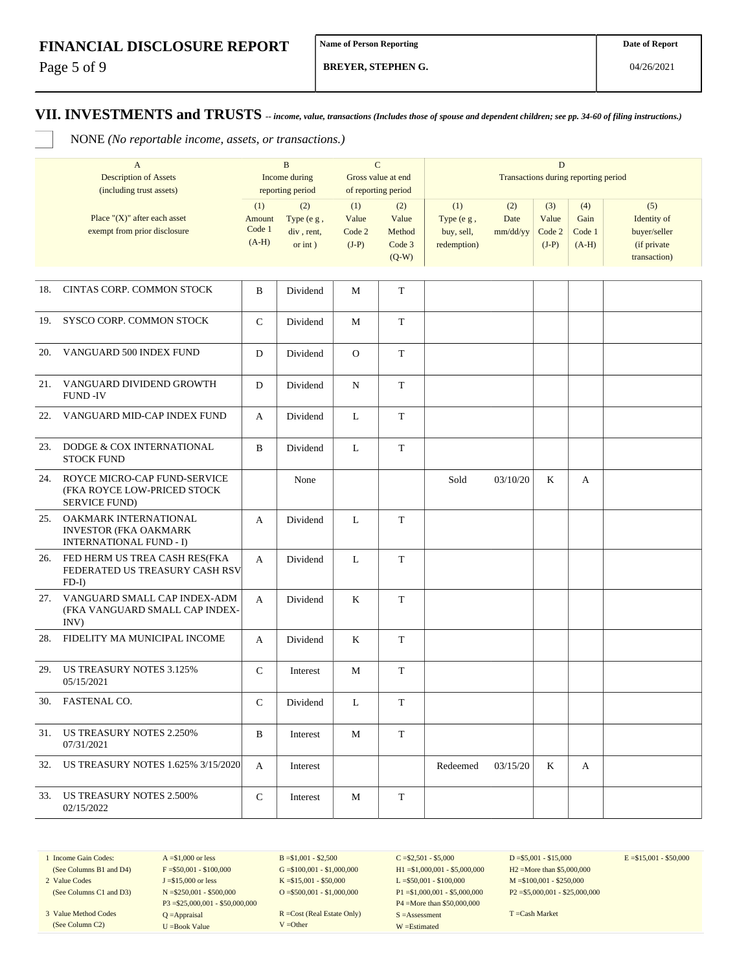Page 5 of 9

**BREYER, STEPHEN G.**

#### **VII. INVESTMENTS and TRUSTS** *-- income, value, transactions (Includes those of spouse and dependent children; see pp. 34-60 of filing instructions.)*

NONE *(No reportable income, assets, or transactions.)*

|     | $\mathbf{A}$<br><b>Description of Assets</b><br>(including trust assets)                |                                    | $\, {\bf B}$<br>Income during<br>reporting period | $\mathbf C$                       | Gross value at end<br>of reporting period   | D<br>Transactions during reporting period      |                         |                                   |                                  |                                                                   |
|-----|-----------------------------------------------------------------------------------------|------------------------------------|---------------------------------------------------|-----------------------------------|---------------------------------------------|------------------------------------------------|-------------------------|-----------------------------------|----------------------------------|-------------------------------------------------------------------|
|     | Place " $(X)$ " after each asset<br>exempt from prior disclosure                        | (1)<br>Amount<br>Code 1<br>$(A-H)$ | (2)<br>Type (e g,<br>div, rent,<br>$or$ int $)$   | (1)<br>Value<br>Code 2<br>$(J-P)$ | (2)<br>Value<br>Method<br>Code 3<br>$(Q-W)$ | (1)<br>Type (e g,<br>buy, sell,<br>redemption) | (2)<br>Date<br>mm/dd/yy | (3)<br>Value<br>Code 2<br>$(J-P)$ | (4)<br>Gain<br>Code 1<br>$(A-H)$ | (5)<br>Identity of<br>buyer/seller<br>(if private<br>transaction) |
| 18. | CINTAS CORP. COMMON STOCK                                                               | B                                  | Dividend                                          | M                                 | T                                           |                                                |                         |                                   |                                  |                                                                   |
| 19. | SYSCO CORP. COMMON STOCK                                                                | $\mathbf C$                        | Dividend                                          | M                                 | T                                           |                                                |                         |                                   |                                  |                                                                   |
| 20. | VANGUARD 500 INDEX FUND                                                                 | D                                  | Dividend                                          | $\mathbf{O}$                      | $\mathbf T$                                 |                                                |                         |                                   |                                  |                                                                   |
| 21. | VANGUARD DIVIDEND GROWTH<br><b>FUND-IV</b>                                              | D                                  | Dividend                                          | N                                 | T                                           |                                                |                         |                                   |                                  |                                                                   |
| 22. | VANGUARD MID-CAP INDEX FUND                                                             | A                                  | Dividend                                          | L                                 | $\mathbf T$                                 |                                                |                         |                                   |                                  |                                                                   |
| 23. | DODGE & COX INTERNATIONAL<br><b>STOCK FUND</b>                                          | B                                  | Dividend                                          | L                                 | $\mathbf T$                                 |                                                |                         |                                   |                                  |                                                                   |
| 24. | ROYCE MICRO-CAP FUND-SERVICE<br>(FKA ROYCE LOW-PRICED STOCK<br><b>SERVICE FUND)</b>     |                                    | None                                              |                                   |                                             | Sold                                           | 03/10/20                | K                                 | А                                |                                                                   |
| 25. | OAKMARK INTERNATIONAL<br><b>INVESTOR (FKA OAKMARK</b><br><b>INTERNATIONAL FUND - I)</b> | A                                  | Dividend                                          | L                                 | T                                           |                                                |                         |                                   |                                  |                                                                   |
| 26. | FED HERM US TREA CASH RES(FKA<br>FEDERATED US TREASURY CASH RSV<br>$FD-I$               | A                                  | Dividend                                          | L                                 | $\mathbf T$                                 |                                                |                         |                                   |                                  |                                                                   |
| 27. | VANGUARD SMALL CAP INDEX-ADM<br>(FKA VANGUARD SMALL CAP INDEX-<br>INV)                  | A                                  | Dividend                                          | K                                 | T                                           |                                                |                         |                                   |                                  |                                                                   |
| 28. | FIDELITY MA MUNICIPAL INCOME                                                            | A                                  | Dividend                                          | K                                 | T                                           |                                                |                         |                                   |                                  |                                                                   |
| 29. | US TREASURY NOTES 3.125%<br>05/15/2021                                                  | $\mathbf C$                        | Interest                                          | M                                 | $\mathbf T$                                 |                                                |                         |                                   |                                  |                                                                   |
| 30. | <b>FASTENAL CO.</b>                                                                     | $\mathsf{C}$                       | Dividend                                          | L                                 | T                                           |                                                |                         |                                   |                                  |                                                                   |
| 31. | US TREASURY NOTES 2.250%<br>07/31/2021                                                  | B                                  | Interest                                          | М                                 | T                                           |                                                |                         |                                   |                                  |                                                                   |
| 32. | <b>US TREASURY NOTES 1.625% 3/15/2020</b>                                               | A                                  | Interest                                          |                                   |                                             | Redeemed                                       | 03/15/20                | K                                 | A                                |                                                                   |
| 33. | <b>US TREASURY NOTES 2.500%</b><br>02/15/2022                                           | $\mathbf C$                        | Interest                                          | M                                 | T                                           |                                                |                         |                                   |                                  |                                                                   |

1 Income Gain Codes: (See Columns B1 and D4)

2 Value Codes

(See Columns C1 and D3) 3 Value Method Codes (See Column C2)

 $F = $50,001 - $100,000$ J =\$15,000 or less N =\$250,001 - \$500,000 P3 =\$25,000,001 - \$50,000,000 Q =Appraisal U =Book Value

 $A = $1,000$  or less

 $B = $1,001 - $2,500$  $G = $100,001 - $1,000,000$ K =\$15,001 - \$50,000 O =  $$500,001 - $1,000,000$ 

R =Cost (Real Estate Only) V =Other

 $C = $2,501 - $5,000$ H1 =\$1,000,001 - \$5,000,000 L =\$50,001 - \$100,000 P1 =\$1,000,001 - \$5,000,000 P4 =More than \$50,000,000 S =Assessment W =Estimated

 $D = $5,001 - $15,000$ H2 =More than \$5,000,000 M =\$100,001 - \$250,000 P2 =\$5,000,001 - \$25,000,000  $E = $15,001 - $50,000$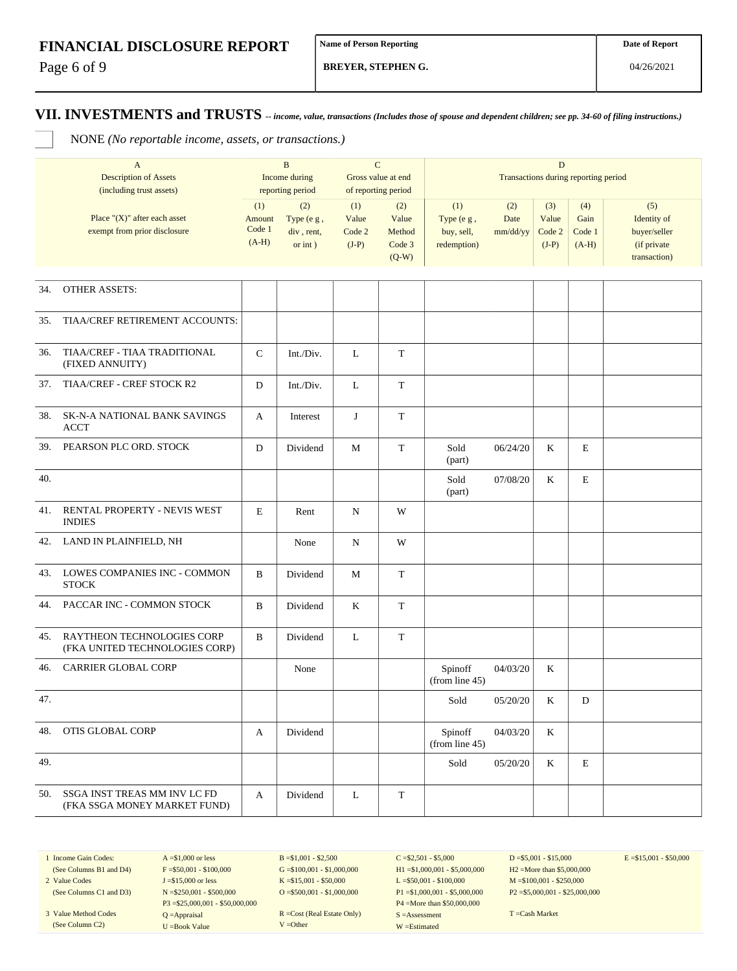Page 6 of 9

**BREYER, STEPHEN G.**

#### **VII. INVESTMENTS and TRUSTS** *-- income, value, transactions (Includes those of spouse and dependent children; see pp. 34-60 of filing instructions.)*

NONE *(No reportable income, assets, or transactions.)*

|     | $\mathbf{A}$<br><b>Description of Assets</b><br>(including trust assets) |                                    | $\mathbf B$<br>Income during<br>reporting period | $\mathbf C$<br>Gross value at end<br>of reporting period |                                             |                                                | Transactions during reporting period |                                   |                                  |                                                                   |
|-----|--------------------------------------------------------------------------|------------------------------------|--------------------------------------------------|----------------------------------------------------------|---------------------------------------------|------------------------------------------------|--------------------------------------|-----------------------------------|----------------------------------|-------------------------------------------------------------------|
|     | Place " $(X)$ " after each asset<br>exempt from prior disclosure         | (1)<br>Amount<br>Code 1<br>$(A-H)$ | (2)<br>Type (e g,<br>div, rent,<br>or $int$ )    | (1)<br>Value<br>Code 2<br>$(J-P)$                        | (2)<br>Value<br>Method<br>Code 3<br>$(Q-W)$ | (1)<br>Type (e g,<br>buy, sell,<br>redemption) | (2)<br>Date<br>mm/dd/yy              | (3)<br>Value<br>Code 2<br>$(J-P)$ | (4)<br>Gain<br>Code 1<br>$(A-H)$ | (5)<br>Identity of<br>buyer/seller<br>(if private<br>transaction) |
| 34. | <b>OTHER ASSETS:</b>                                                     |                                    |                                                  |                                                          |                                             |                                                |                                      |                                   |                                  |                                                                   |
| 35. | TIAA/CREF RETIREMENT ACCOUNTS:                                           |                                    |                                                  |                                                          |                                             |                                                |                                      |                                   |                                  |                                                                   |
| 36. | TIAA/CREF - TIAA TRADITIONAL<br>(FIXED ANNUITY)                          | $\mathsf{C}$                       | Int./Div.                                        | L                                                        | T                                           |                                                |                                      |                                   |                                  |                                                                   |
| 37. | TIAA/CREF - CREF STOCK R2                                                | D                                  | Int./Div.                                        | L                                                        | $\mathbf T$                                 |                                                |                                      |                                   |                                  |                                                                   |
| 38. | <b>SK-N-A NATIONAL BANK SAVINGS</b><br><b>ACCT</b>                       | A                                  | Interest                                         | J                                                        | $\mathbf T$                                 |                                                |                                      |                                   |                                  |                                                                   |
| 39. | PEARSON PLC ORD. STOCK                                                   | D                                  | Dividend                                         | M                                                        | $\mathbf T$                                 | Sold<br>(part)                                 | 06/24/20                             | K                                 | E                                |                                                                   |
| 40. |                                                                          |                                    |                                                  |                                                          |                                             | Sold<br>(part)                                 | 07/08/20                             | K                                 | E                                |                                                                   |
| 41. | RENTAL PROPERTY - NEVIS WEST<br><b>INDIES</b>                            | E                                  | Rent                                             | N                                                        | W                                           |                                                |                                      |                                   |                                  |                                                                   |
| 42. | LAND IN PLAINFIELD, NH                                                   |                                    | None                                             | N                                                        | W                                           |                                                |                                      |                                   |                                  |                                                                   |
| 43. | LOWES COMPANIES INC - COMMON<br><b>STOCK</b>                             | B                                  | Dividend                                         | M                                                        | $\mathbf T$                                 |                                                |                                      |                                   |                                  |                                                                   |
| 44. | PACCAR INC - COMMON STOCK                                                | B                                  | Dividend                                         | K                                                        | $\mathbf T$                                 |                                                |                                      |                                   |                                  |                                                                   |
| 45. | RAYTHEON TECHNOLOGIES CORP<br>(FKA UNITED TECHNOLOGIES CORP)             | B                                  | Dividend                                         | L                                                        | $\mathbf T$                                 |                                                |                                      |                                   |                                  |                                                                   |
| 46. | <b>CARRIER GLOBAL CORP</b>                                               |                                    | None                                             |                                                          |                                             | Spinoff<br>(from line 45)                      | 04/03/20                             | K                                 |                                  |                                                                   |
| 47. |                                                                          |                                    |                                                  |                                                          |                                             | Sold                                           | 05/20/20                             | K                                 | D                                |                                                                   |
| 48. | OTIS GLOBAL CORP                                                         | A                                  | Dividend                                         |                                                          |                                             | Spinoff<br>(from line 45)                      | 04/03/20                             | $\rm K$                           |                                  |                                                                   |
| 49. |                                                                          |                                    |                                                  |                                                          |                                             | Sold                                           | 05/20/20                             | $\bf K$                           | E                                |                                                                   |
| 50. | SSGA INST TREAS MM INV LC FD<br>(FKA SSGA MONEY MARKET FUND)             | A                                  | Dividend                                         | L                                                        | $\mathbf T$                                 |                                                |                                      |                                   |                                  |                                                                   |

1 Income Gain Codes: (See Columns B1 and D4)

2 Value Codes (See Columns C1 and D3)

3 Value Method Codes

(See Column C2)

 $A = $1,000$  or less  $F = $50,001 - $100,000$ J =\$15,000 or less N =\$250,001 - \$500,000 P3 =\$25,000,001 - \$50,000,000 Q =Appraisal U =Book Value

 $B = $1,001 - $2,500$  $G = $100,001 - $1,000,000$ K =\$15,001 - \$50,000 O =  $$500,001 - $1,000,000$ 

R =Cost (Real Estate Only) V =Other

 $C = $2,501 - $5,000$ H1 =\$1,000,001 - \$5,000,000 L =\$50,001 - \$100,000 P1 =\$1,000,001 - \$5,000,000 P4 =More than \$50,000,000 S =Assessment W =Estimated

 $D = $5,001 - $15,000$ H2 =More than \$5,000,000 M =\$100,001 - \$250,000 P2 =\$5,000,001 - \$25,000,000  $E = $15,001 - $50,000$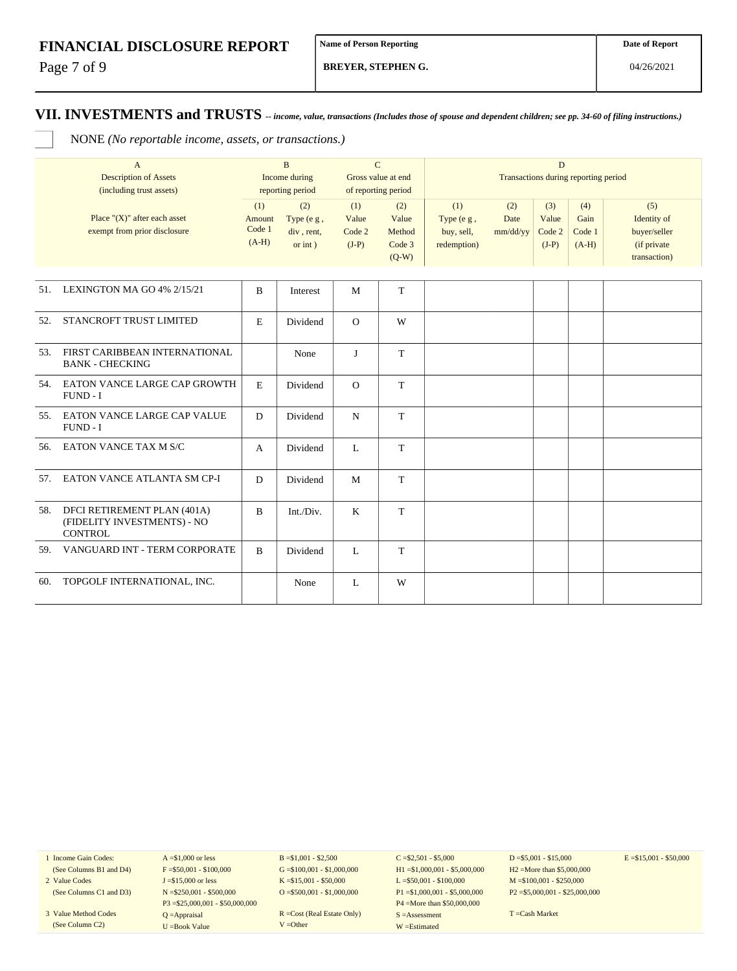Page 7 of 9

**BREYER, STEPHEN G.**

#### **VII. INVESTMENTS and TRUSTS** *-- income, value, transactions (Includes those of spouse and dependent children; see pp. 34-60 of filing instructions.)*

NONE *(No reportable income, assets, or transactions.)*

|     | $\mathsf{A}$<br><b>Description of Assets</b><br>(including trust assets)     |                                    | $\mathbf C$<br>$\overline{B}$<br>$\overline{D}$<br>Gross value at end<br>Income during<br>Transactions during reporting period<br>reporting period<br>of reporting period |                                   |                                             |                                                |                         |                                   |                                  |                                                                   |
|-----|------------------------------------------------------------------------------|------------------------------------|---------------------------------------------------------------------------------------------------------------------------------------------------------------------------|-----------------------------------|---------------------------------------------|------------------------------------------------|-------------------------|-----------------------------------|----------------------------------|-------------------------------------------------------------------|
|     | Place " $(X)$ " after each asset<br>exempt from prior disclosure             | (1)<br>Amount<br>Code 1<br>$(A-H)$ | (2)<br>Type (e g,<br>div, rent,<br>$or$ int $)$                                                                                                                           | (1)<br>Value<br>Code 2<br>$(J-P)$ | (2)<br>Value<br>Method<br>Code 3<br>$(Q-W)$ | (1)<br>Type (e g,<br>buy, sell,<br>redemption) | (2)<br>Date<br>mm/dd/yy | (3)<br>Value<br>Code 2<br>$(J-P)$ | (4)<br>Gain<br>Code 1<br>$(A-H)$ | (5)<br>Identity of<br>buyer/seller<br>(if private<br>transaction) |
| 51. | LEXINGTON MA GO 4% 2/15/21                                                   | $\mathbf B$                        | Interest                                                                                                                                                                  | M                                 | T                                           |                                                |                         |                                   |                                  |                                                                   |
| 52. | STANCROFT TRUST LIMITED                                                      | E                                  | Dividend                                                                                                                                                                  | $\Omega$                          | W                                           |                                                |                         |                                   |                                  |                                                                   |
| 53. | FIRST CARIBBEAN INTERNATIONAL<br><b>BANK - CHECKING</b>                      |                                    | None                                                                                                                                                                      | J                                 | T                                           |                                                |                         |                                   |                                  |                                                                   |
| 54. | EATON VANCE LARGE CAP GROWTH<br>FUND - I                                     | $\mathbf E$                        | Dividend                                                                                                                                                                  | $\Omega$                          | T                                           |                                                |                         |                                   |                                  |                                                                   |
| 55. | EATON VANCE LARGE CAP VALUE<br>FUND - I                                      | D                                  | Dividend                                                                                                                                                                  | $\mathbf N$                       | T                                           |                                                |                         |                                   |                                  |                                                                   |
| 56. | EATON VANCE TAX M S/C                                                        | A                                  | Dividend                                                                                                                                                                  | L                                 | T                                           |                                                |                         |                                   |                                  |                                                                   |
| 57. | EATON VANCE ATLANTA SM CP-I                                                  | D                                  | Dividend                                                                                                                                                                  | M                                 | T                                           |                                                |                         |                                   |                                  |                                                                   |
| 58. | DFCI RETIREMENT PLAN (401A)<br>(FIDELITY INVESTMENTS) - NO<br><b>CONTROL</b> | $\mathbf B$                        | Int./Div.                                                                                                                                                                 | K                                 | $\mathbf T$                                 |                                                |                         |                                   |                                  |                                                                   |
| 59. | VANGUARD INT - TERM CORPORATE                                                | $\mathbf B$                        | Dividend                                                                                                                                                                  | L                                 | T                                           |                                                |                         |                                   |                                  |                                                                   |
| 60. | TOPGOLF INTERNATIONAL, INC.                                                  |                                    | None                                                                                                                                                                      | L                                 | W                                           |                                                |                         |                                   |                                  |                                                                   |

1 Income Gain Codes: (See Columns B1 and D4)

2 Value Codes (See Columns C1 and D3)

3 Value Method Codes

(See Column C2)

 $A = $1,000$  or less  $F = $50,001 - $100,000$ J =\$15,000 or less N =\$250,001 - \$500,000 P3 =\$25,000,001 - \$50,000,000 Q =Appraisal U =Book Value

 $B = $1,001 - $2,500$  $G = $100,001 - $1,000,000$ K =\$15,001 - \$50,000 O =  $$500,001 - $1,000,000$ 

R =Cost (Real Estate Only) V =Other

 $C = $2,501 - $5,000$ H1 =\$1,000,001 - \$5,000,000 L =\$50,001 - \$100,000 P1 =\$1,000,001 - \$5,000,000 P4 =More than \$50,000,000 S =Assessment W =Estimated

 $D = $5,001 - $15,000$ H2 =More than \$5,000,000 M =\$100,001 - \$250,000 P2 =\$5,000,001 - \$25,000,000  $E = $15,001 - $50,000$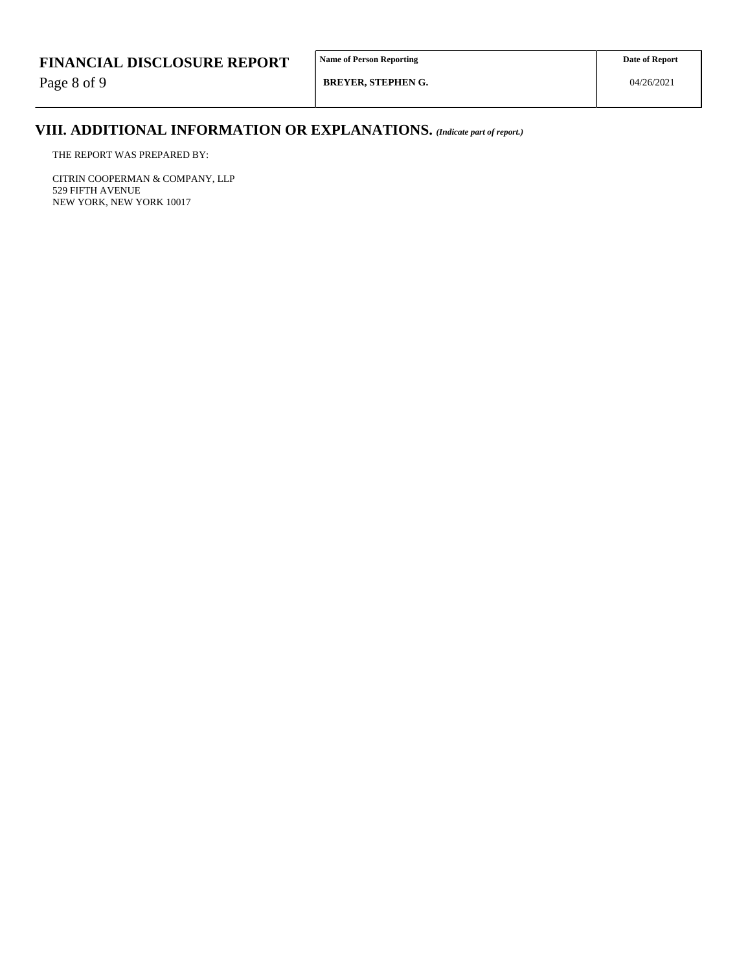Page 8 of 9

# **VIII. ADDITIONAL INFORMATION OR EXPLANATIONS.** *(Indicate part of report.)*

THE REPORT WAS PREPARED BY:

CITRIN COOPERMAN & COMPANY, LLP 529 FIFTH AVENUE NEW YORK, NEW YORK 10017